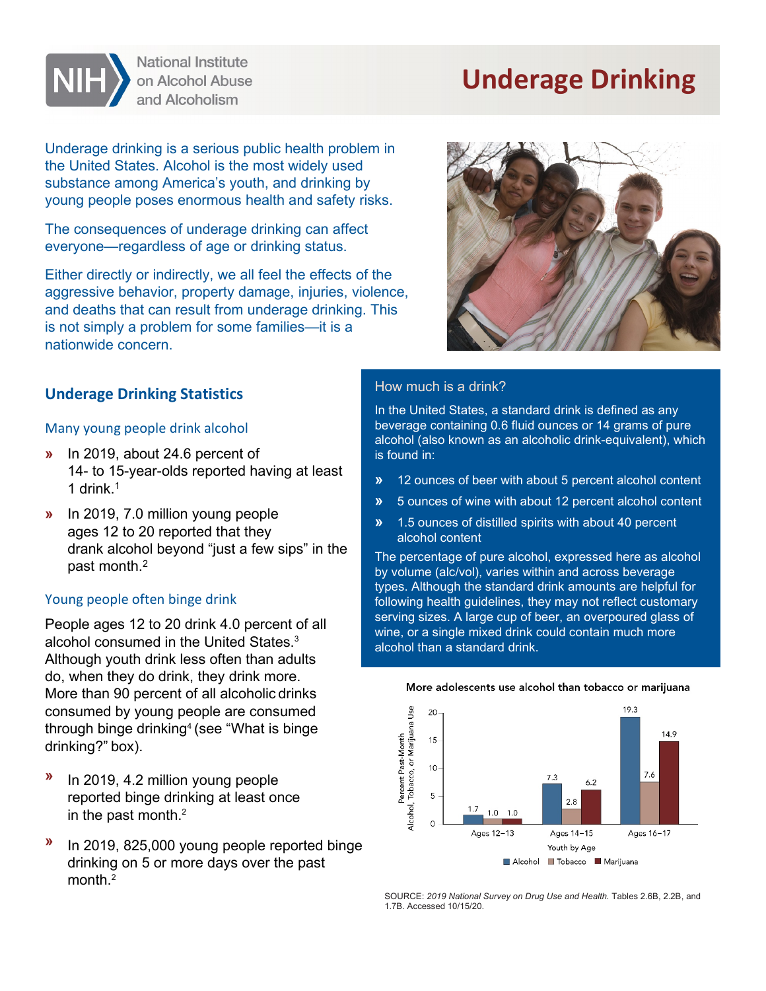# **Underage Drinking**

Underage drinking is a serious public health problem in the United States. Alcohol is the most widely used substance among America's youth, and drinking by young people poses enormous health and safety risks.

**National Institute** on Alcohol Abuse and Alcoholism

The consequences of underage drinking can affect everyone—regardless of age or drinking status.

Either directly or indirectly, we all feel the effects of the aggressive behavior, property damage, injuries, violence, and deaths that can result from underage drinking. This is not simply a problem for some families—it is a nationwide concern.



## **Underage Drinking Statistics**

#### Many young people drink alcohol

- **»** In 2019, about 24.6 percent of 14- to 15-year-olds reported having at least 1 drink.1
- **»** In 2019, 7.0 million young people ages 12 to 20 reported that they drank alcohol beyond "just a few sips" in the past month.2

#### Young people often binge drink

People ages 12 to 20 drink 4.0 percent of all alcohol consumed in the United States. 3 Although youth drink less often than adults do, when they do drink, they drink more. More than 90 percent of all alcoholic drinks consumed by young people are consumed through binge drinking $\rm ^4$  (see "What is binge drinking?" box).

- **»** In 2019, 4.2 million young people reported binge drinking at least once in the past month. 2
- **»** In 2019, 825,000 young people reported binge drinking on 5 or more days over the past month $^2$

#### How much is a drink?

In the United States, a standard drink is defined as any beverage containing 0.6 fluid ounces or 14 grams of pure alcohol (also known as an alcoholic drink-equivalent), which is found in:

- **»** 12 ounces of beer with about 5 percent alcohol content
- **»** 5 ounces of wine with about 12 percent alcohol content
- **»** 1.5 ounces of distilled spirits with about 40 percent alcohol content

The percentage of pure alcohol, expressed here as alcohol by volume (alc/vol), varies within and across beverage types. Although the standard drink amounts are helpful for following health guidelines, they may not reflect customary serving sizes. A large cup of beer, an overpoured glass of wine, or a single mixed drink could contain much more alcohol than a standard drink.



#### More adolescents use alcohol than tobacco or marijuana

SOURCE: *2019 National Survey on Drug Use and Health.* Tables 2.6B, 2.2B, and 1.7B. Accessed 10/15/20.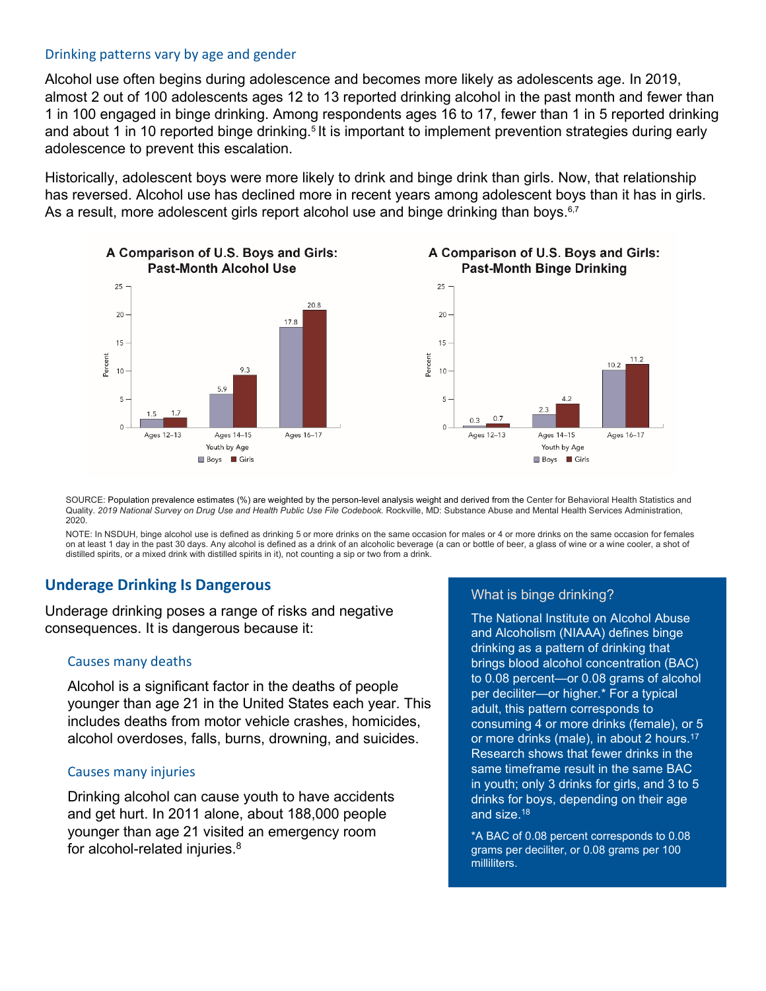#### Drinking patterns vary by age and gender

Alcohol use often begins during adolescence and becomes more likely as adolescents age. In 2019, almost 2 out of 100 adolescents ages 12 to 13 reported drinking alcohol in the past month and fewer than 1 in 100 engaged in binge drinking. Among respondents ages 16 to 17, fewer than 1 in 5 reported drinking and about 1 in 10 reported binge drinking. $^{\rm 5}$ It is important to implement prevention strategies during early adolescence to prevent this escalation.

Historically, adolescent boys were more likely to drink and binge drink than girls. Now, that relationship has reversed. Alcohol use has declined more in recent years among adolescent boys than it has in girls. As a result, more adolescent girls report alcohol use and binge drinking than boys.<sup>6,7</sup>



SOURCE: Population prevalence estimates (%) are weighted by the person-level analysis weight and derived from the Center for Behavioral Health Statistics and Quality. 2019 National Survey on Drug Use and Health Public Use File Codebook. Rockville, MD: Substance Abuse and Mental Health Services Administration, 2020.

NOTE: In NSDUH, binge alcohol use is defined as drinking 5 or more drinks on the same occasion for males or 4 or more drinks on the same occasion for females on at least 1 day in the past 30 days. Any alcohol is defined as a drink of an alcoholic beverage (a can or bottle of beer, a glass of wine or a wine cooler, a shot of distilled spirits, or a mixed drink with distilled spirits in it), not counting a sip or two from a drink.

## **Underage Drinking Is Dangerous**

Underage drinking poses a range of risks and negative consequences. It is dangerous because it:

#### Causes many deaths

Alcohol is a significant factor in the deaths of people younger than age 21 in the United States each year. This includes deaths from motor vehicle crashes, homicides, alcohol overdoses, falls, burns, drowning, and suicides.

#### Causes many injuries

Drinking alcohol can cause youth to have accidents and get hurt. In 2011 alone, about 188,000 people younger than age 21 visited an emergency room for alcohol-related injuries.8

### What is binge drinking?

The National Institute on Alcohol Abuse and Alcoholism (NIAAA) defines binge drinking as a pattern of drinking that brings blood alcohol concentration (BAC) to 0.08 percent—or 0.08 grams of alcohol per deciliter—or higher.\* For a typical adult, this pattern corresponds to consuming 4 or more drinks (female), or 5 or more drinks (male), in about 2 hours.17 Research shows that fewer drinks in the same timeframe result in the same BAC in youth; only 3 drinks for girls, and 3 to 5 drinks for boys, depending on their age and size.18

\*A BAC of 0.08 percent corresponds to 0.08 grams per deciliter, or 0.08 grams per 100 milliliters.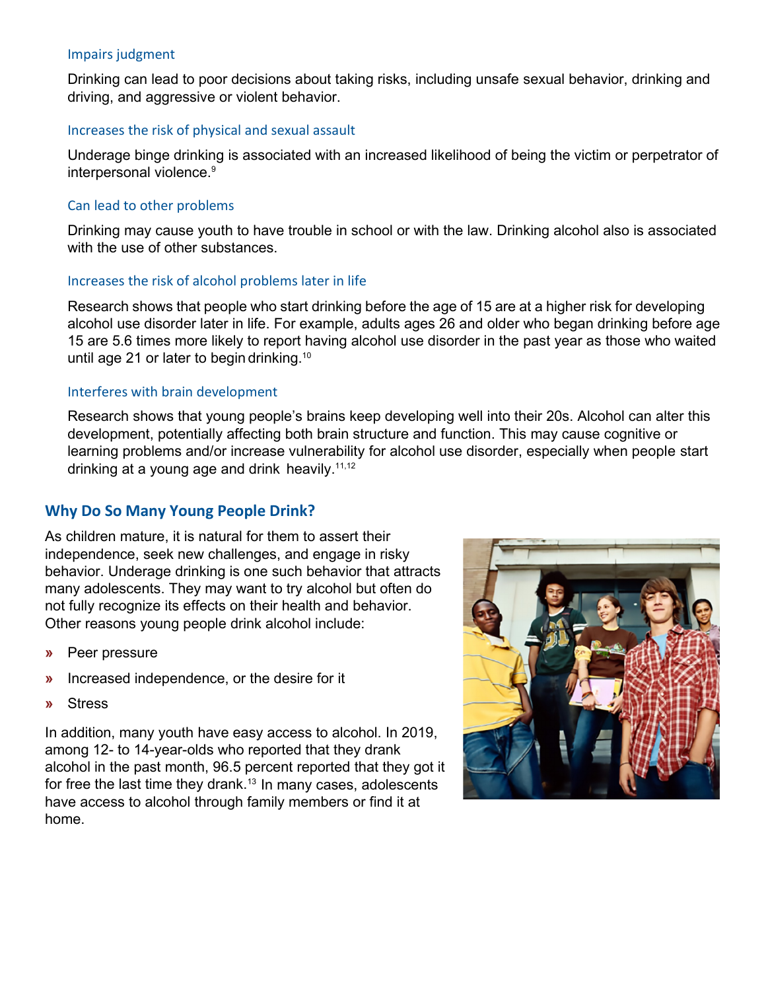### Impairs judgment

Drinking can lead to poor decisions about taking risks, including unsafe sexual behavior, drinking and driving, and aggressive or violent behavior.

#### Increases the risk of physical and sexual assault

Underage binge drinking is associated with an increased likelihood of being the victim or perpetrator of interpersonal violence.<sup>9</sup>

### Can lead to other problems

Drinking may cause youth to have trouble in school or with the law. Drinking alcohol also is associated with the use of other substances.

#### Increases the risk of alcohol problems later in life

Research shows that people who start drinking before the age of 15 are at a higher risk for developing alcohol use disorder later in life. For example, adults ages 26 and older who began drinking before age 15 are 5.6 times more likely to report having alcohol use disorder in the past year as those who waited until age 21 or later to begin drinking.10

#### Interferes with brain development

Research shows that young people's brains keep developing well into their 20s. Alcohol can alter this development, potentially affecting both brain structure and function. This may cause cognitive or learning problems and/or increase vulnerability for alcohol use disorder, especially when people start drinking at a young age and drink heavily.<sup>11,12</sup>

## **Why Do So Many Young People Drink?**

As children mature, it is natural for them to assert their independence, seek new challenges, and engage in risky behavior. Underage drinking is one such behavior that attracts many adolescents. They may want to try alcohol but often do not fully recognize its effects on their health and behavior. Other reasons young people drink alcohol include:

- **»** Peer pressure
- **»** Increased independence, or the desire for it
- **»** Stress

In addition, many youth have easy access to alcohol. In 2019, among 12- to 14-year-olds who reported that they drank alcohol in the past month, 96.5 percent reported that they got it for free the last time they drank. $^{13}$  In many cases, adolescents have access to alcohol through family members or find it at home.

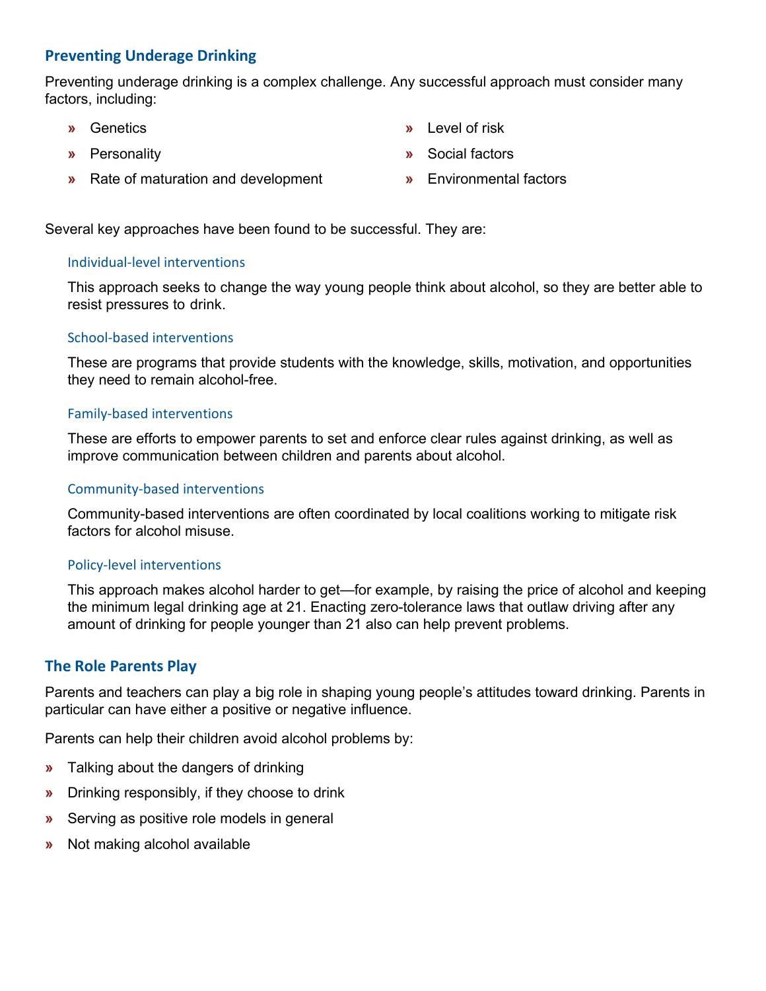## **Preventing Underage Drinking**

Preventing underage drinking is a complex challenge. Any successful approach must consider many factors, including:

- **»** Genetics
- **»** Personality
- **»** Rate of maturation and development
- **»** Level of risk
- **»** Social factors
- **»** Environmental factors

Several key approaches have been found to be successful. They are:

## Individual-level interventions

This approach seeks to change the way young people think about alcohol, so they are better able to resist pressures to drink.

## School-based interventions

These are programs that provide students with the knowledge, skills, motivation, and opportunities they need to remain alcohol-free.

## Family-based interventions

These are efforts to empower parents to set and enforce clear rules against drinking, as well as improve communication between children and parents about alcohol.

## Community-based interventions

Community-based interventions are often coordinated by local coalitions working to mitigate risk factors for alcohol misuse.

## Policy-level interventions

This approach makes alcohol harder to get—for example, by raising the price of alcohol and keeping the minimum legal drinking age at 21. Enacting zero-tolerance laws that outlaw driving after any amount of drinking for people younger than 21 also can help prevent problems.

## **The Role Parents Play**

Parents and teachers can play a big role in shaping young people's attitudes toward drinking. Parents in particular can have either a positive or negative influence.

Parents can help their children avoid alcohol problems by:

- **»** Talking about the dangers of drinking
- **»** Drinking responsibly, if they choose to drink
- **»** Serving as positive role models in general
- **»** Not making alcohol available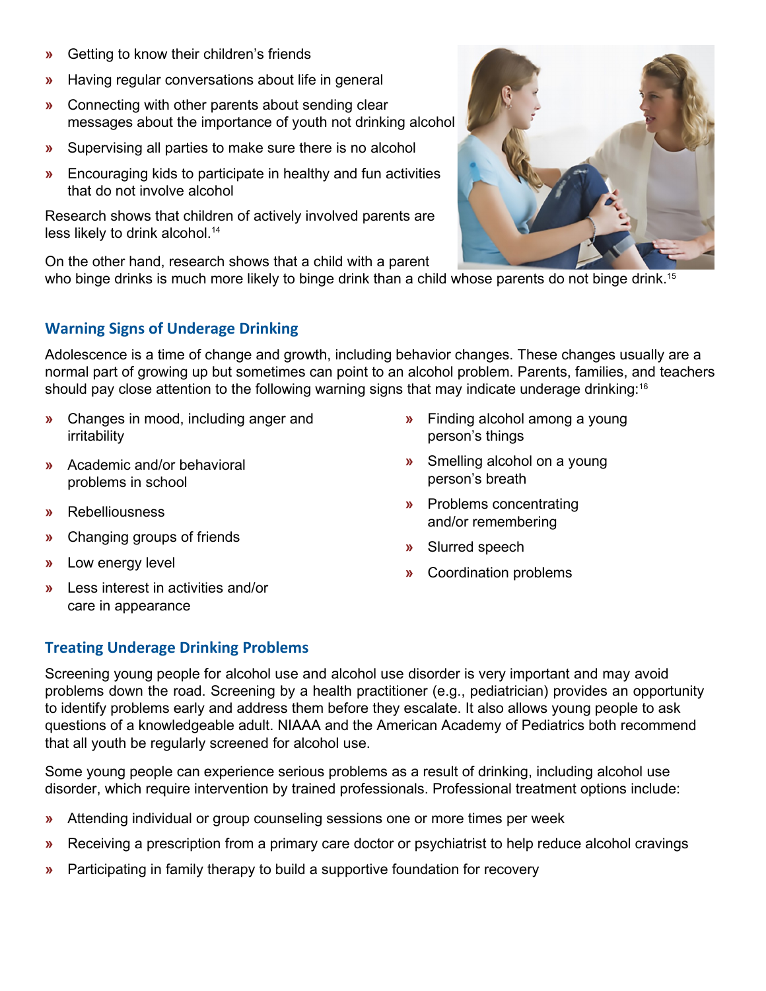- **»** Getting to know their children's friends
- **»** Having regular conversations about life in general
- **»** Connecting with other parents about sending clear messages about the importance of youth not drinking alcohol
- **»** Supervising all parties to make sure there is no alcohol
- **»** Encouraging kids to participate in healthy and fun activities that do not involve alcohol

Research shows that children of actively involved parents are less likely to drink alcohol.<sup>14</sup>

On the other hand, research shows that a child with a parent

who binge drinks is much more likely to binge drink than a child whose parents do not binge drink.<sup>15</sup>

## **Warning Signs of Underage Drinking**

Adolescence is a time of change and growth, including behavior changes. These changes usually are a normal part of growing up but sometimes can point to an alcohol problem. Parents, families, and teachers should pay close attention to the following warning signs that may indicate underage drinking:<sup>16</sup>

- **»** Changes in mood, including anger and irritability
- **»** Academic and/or behavioral problems in school
- **»** Rebelliousness
- **»** Changing groups of friends
- **»** Low energy level
- **»** Less interest in activities and/or care in appearance
- **»** Finding alcohol among a young person's things
- **»** Smelling alcohol on a young person's breath
- **»** Problems concentrating and/or remembering
- **»** Slurred speech
- **»** Coordination problems

## **Treating Underage Drinking Problems**

Screening young people for alcohol use and alcohol use disorder is very important and may avoid problems down the road. Screening by a health practitioner (e.g., pediatrician) provides an opportunity to identify problems early and address them before they escalate. It also allows young people to ask questions of a knowledgeable adult. NIAAA and the American Academy of Pediatrics both recommend that all youth be regularly screened for alcohol use.

Some young people can experience serious problems as a result of drinking, including alcohol use disorder, which require intervention by trained professionals. Professional treatment options include:

- **»** Attending individual or group counseling sessions one or more times per week
- **»** Receiving a prescription from a primary care doctor or psychiatrist to help reduce alcohol cravings
- **»** Participating in family therapy to build a supportive foundation for recovery